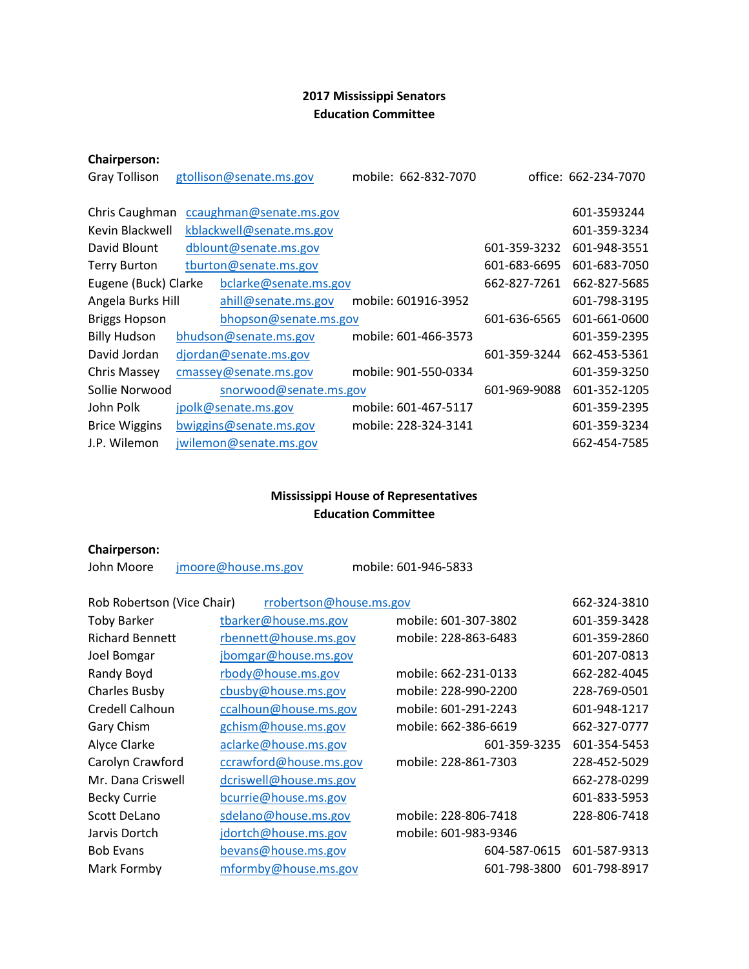## **2017 Mississippi Senators Education Committee**

## **Chairperson:**

| <b>Gray Tollison</b> | gtollison@senate.ms.gov  | mobile: 662-832-7070 |              | office: 662-234-7070 |
|----------------------|--------------------------|----------------------|--------------|----------------------|
| Chris Caughman       | ccaughman@senate.ms.gov  |                      |              | 601-3593244          |
| Kevin Blackwell      | kblackwell@senate.ms.gov |                      |              | 601-359-3234         |
| David Blount         | dblount@senate.ms.gov    |                      | 601-359-3232 | 601-948-3551         |
| <b>Terry Burton</b>  | tburton@senate.ms.gov    |                      | 601-683-6695 | 601-683-7050         |
| Eugene (Buck) Clarke | bclarke@senate.ms.gov    |                      | 662-827-7261 | 662-827-5685         |
| Angela Burks Hill    | ahill@senate.ms.gov      | mobile: 601916-3952  |              | 601-798-3195         |
| <b>Briggs Hopson</b> | bhopson@senate.ms.gov    |                      | 601-636-6565 | 601-661-0600         |
| <b>Billy Hudson</b>  | bhudson@senate.ms.gov    | mobile: 601-466-3573 |              | 601-359-2395         |
| David Jordan         | djordan@senate.ms.gov    |                      | 601-359-3244 | 662-453-5361         |
| Chris Massey         | cmassey@senate.ms.gov    | mobile: 901-550-0334 |              | 601-359-3250         |
| Sollie Norwood       | snorwood@senate.ms.gov   |                      | 601-969-9088 | 601-352-1205         |
| John Polk            | jpolk@senate.ms.gov      | mobile: 601-467-5117 |              | 601-359-2395         |
| <b>Brice Wiggins</b> | bwiggins@senate.ms.gov   | mobile: 228-324-3141 |              | 601-359-3234         |
| J.P. Wilemon         | jwilemon@senate.ms.gov   |                      |              | 662-454-7585         |

## **Mississippi House of Representatives Education Committee**

## **Chairperson:**

John Moore imoore@house.ms.gov mobile: 601-946-5833

| Rob Robertson (Vice Chair) | rrobertson@house.ms.gov |                      | 662-324-3810 |
|----------------------------|-------------------------|----------------------|--------------|
| <b>Toby Barker</b>         | tbarker@house.ms.gov    | mobile: 601-307-3802 | 601-359-3428 |
| <b>Richard Bennett</b>     | rbennett@house.ms.gov   | mobile: 228-863-6483 | 601-359-2860 |
| Joel Bomgar                | jbomgar@house.ms.gov    |                      | 601-207-0813 |
| Randy Boyd                 | rbody@house.ms.gov      | mobile: 662-231-0133 | 662-282-4045 |
| <b>Charles Busby</b>       | cbusby@house.ms.gov     | mobile: 228-990-2200 | 228-769-0501 |
| Credell Calhoun            | ccalhoun@house.ms.gov   | mobile: 601-291-2243 | 601-948-1217 |
| Gary Chism                 | gchism@house.ms.gov     | mobile: 662-386-6619 | 662-327-0777 |
| Alyce Clarke               | aclarke@house.ms.gov    | 601-359-3235         | 601-354-5453 |
| Carolyn Crawford           | ccrawford@house.ms.gov  | mobile: 228-861-7303 | 228-452-5029 |
| Mr. Dana Criswell          | dcriswell@house.ms.gov  |                      | 662-278-0299 |
| <b>Becky Currie</b>        | bcurrie@house.ms.gov    |                      | 601-833-5953 |
| <b>Scott DeLano</b>        | sdelano@house.ms.gov    | mobile: 228-806-7418 | 228-806-7418 |
| Jarvis Dortch              | jdortch@house.ms.gov    | mobile: 601-983-9346 |              |
| <b>Bob Evans</b>           | bevans@house.ms.gov     | 604-587-0615         | 601-587-9313 |
| Mark Formby                | mformby@house.ms.gov    | 601-798-3800         | 601-798-8917 |